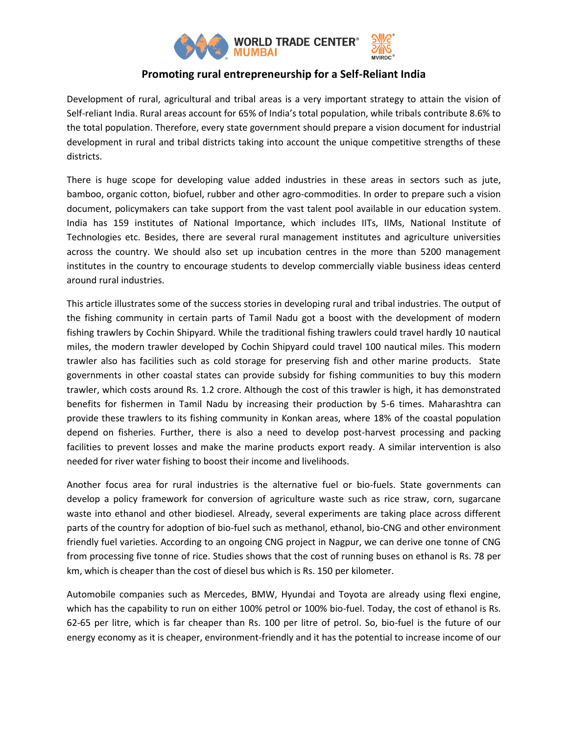

## **Promoting rural entrepreneurship for a Self-Reliant India**

Development of rural, agricultural and tribal areas is a very important strategy to attain the vision of Self-reliant India. Rural areas account for 65% of India's total population, while tribals contribute 8.6% to the total population. Therefore, every state government should prepare a vision document for industrial development in rural and tribal districts taking into account the unique competitive strengths of these districts.

There is huge scope for developing value added industries in these areas in sectors such as jute, bamboo, organic cotton, biofuel, rubber and other agro-commodities. In order to prepare such a vision document, policymakers can take support from the vast talent pool available in our education system. India has 159 institutes of National Importance, which includes IITs, IIMs, National Institute of Technologies etc. Besides, there are several rural management institutes and agriculture universities across the country. We should also set up incubation centres in the more than 5200 management institutes in the country to encourage students to develop commercially viable business ideas centerd around rural industries.

This article illustrates some of the success stories in developing rural and tribal industries. The output of the fishing community in certain parts of Tamil Nadu got a boost with the development of modern fishing trawlers by Cochin Shipyard. While the traditional fishing trawlers could travel hardly 10 nautical miles, the modern trawler developed by Cochin Shipyard could travel 100 nautical miles. This modern trawler also has facilities such as cold storage for preserving fish and other marine products. State governments in other coastal states can provide subsidy for fishing communities to buy this modern trawler, which costs around Rs. 1.2 crore. Although the cost of this trawler is high, it has demonstrated benefits for fishermen in Tamil Nadu by increasing their production by 5-6 times. Maharashtra can provide these trawlers to its fishing community in Konkan areas, where 18% of the coastal population depend on fisheries. Further, there is also a need to develop post-harvest processing and packing facilities to prevent losses and make the marine products export ready. A similar intervention is also needed for river water fishing to boost their income and livelihoods.

Another focus area for rural industries is the alternative fuel or bio-fuels. State governments can develop a policy framework for conversion of agriculture waste such as rice straw, corn, sugarcane waste into ethanol and other biodiesel. Already, several experiments are taking place across different parts of the country for adoption of bio-fuel such as methanol, ethanol, bio-CNG and other environment friendly fuel varieties. According to an ongoing CNG project in Nagpur, we can derive one tonne of CNG from processing five tonne of rice. Studies shows that the cost of running buses on ethanol is Rs. 78 per km, which is cheaper than the cost of diesel bus which is Rs. 150 per kilometer.

Automobile companies such as Mercedes, BMW, Hyundai and Toyota are already using flexi engine, which has the capability to run on either 100% petrol or 100% bio-fuel. Today, the cost of ethanol is Rs. 62-65 per litre, which is far cheaper than Rs. 100 per litre of petrol. So, bio-fuel is the future of our energy economy as it is cheaper, environment-friendly and it has the potential to increase income of our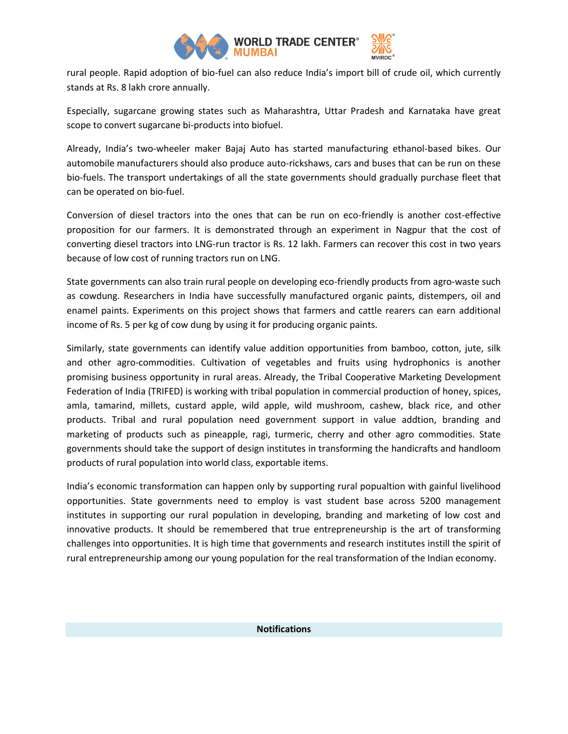

rural people. Rapid adoption of bio-fuel can also reduce India's import bill of crude oil, which currently stands at Rs. 8 lakh crore annually.

Especially, sugarcane growing states such as Maharashtra, Uttar Pradesh and Karnataka have great scope to convert sugarcane bi-products into biofuel.

Already, India's two-wheeler maker Bajaj Auto has started manufacturing ethanol-based bikes. Our automobile manufacturers should also produce auto-rickshaws, cars and buses that can be run on these bio-fuels. The transport undertakings of all the state governments should gradually purchase fleet that can be operated on bio-fuel.

Conversion of diesel tractors into the ones that can be run on eco-friendly is another cost-effective proposition for our farmers. It is demonstrated through an experiment in Nagpur that the cost of converting diesel tractors into LNG-run tractor is Rs. 12 lakh. Farmers can recover this cost in two years because of low cost of running tractors run on LNG.

State governments can also train rural people on developing eco-friendly products from agro-waste such as cowdung. Researchers in India have successfully manufactured organic paints, distempers, oil and enamel paints. Experiments on this project shows that farmers and cattle rearers can earn additional income of Rs. 5 per kg of cow dung by using it for producing organic paints.

Similarly, state governments can identify value addition opportunities from bamboo, cotton, jute, silk and other agro-commodities. Cultivation of vegetables and fruits using hydrophonics is another promising business opportunity in rural areas. Already, the Tribal Cooperative Marketing Development Federation of India (TRIFED) is working with tribal population in commercial production of honey, spices, amla, tamarind, millets, custard apple, wild apple, wild mushroom, cashew, black rice, and other products. Tribal and rural population need government support in value addtion, branding and marketing of products such as pineapple, ragi, turmeric, cherry and other agro commodities. State governments should take the support of design institutes in transforming the handicrafts and handloom products of rural population into world class, exportable items.

India's economic transformation can happen only by supporting rural popualtion with gainful livelihood opportunities. State governments need to employ is vast student base across 5200 management institutes in supporting our rural population in developing, branding and marketing of low cost and innovative products. It should be remembered that true entrepreneurship is the art of transforming challenges into opportunities. It is high time that governments and research institutes instill the spirit of rural entrepreneurship among our young population for the real transformation of the Indian economy.